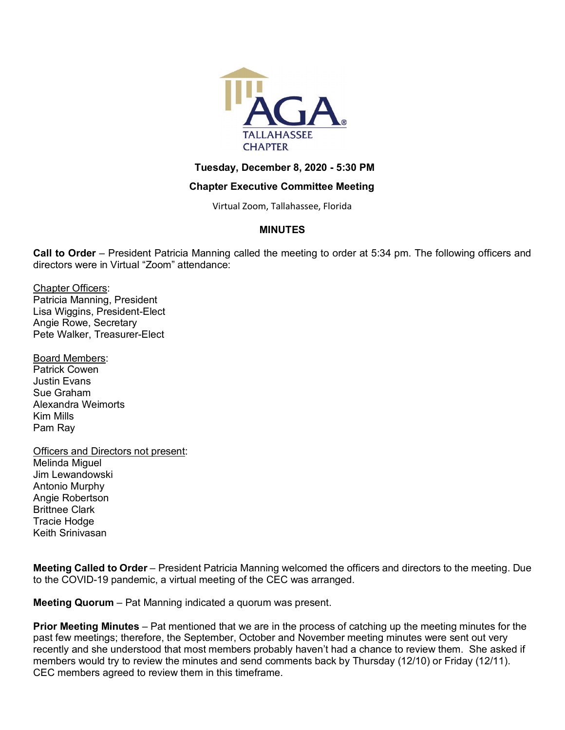

# **Tuesday, December 8, 2020 - 5:30 PM**

# **Chapter Executive Committee Meeting**

Virtual Zoom, Tallahassee, Florida

# **MINUTES**

**Call to Order** – President Patricia Manning called the meeting to order at 5:34 pm. The following officers and directors were in Virtual "Zoom" attendance:

Chapter Officers: Patricia Manning, President Lisa Wiggins, President-Elect Angie Rowe, Secretary Pete Walker, Treasurer-Elect

Board Members: Patrick Cowen Justin Evans Sue Graham Alexandra Weimorts Kim Mills Pam Ray

Officers and Directors not present: Melinda Miguel Jim Lewandowski Antonio Murphy Angie Robertson Brittnee Clark Tracie Hodge Keith Srinivasan

**Meeting Called to Order** – President Patricia Manning welcomed the officers and directors to the meeting. Due to the COVID-19 pandemic, a virtual meeting of the CEC was arranged.

**Meeting Quorum** – Pat Manning indicated a quorum was present.

**Prior Meeting Minutes** – Pat mentioned that we are in the process of catching up the meeting minutes for the past few meetings; therefore, the September, October and November meeting minutes were sent out very recently and she understood that most members probably haven't had a chance to review them. She asked if members would try to review the minutes and send comments back by Thursday (12/10) or Friday (12/11). CEC members agreed to review them in this timeframe.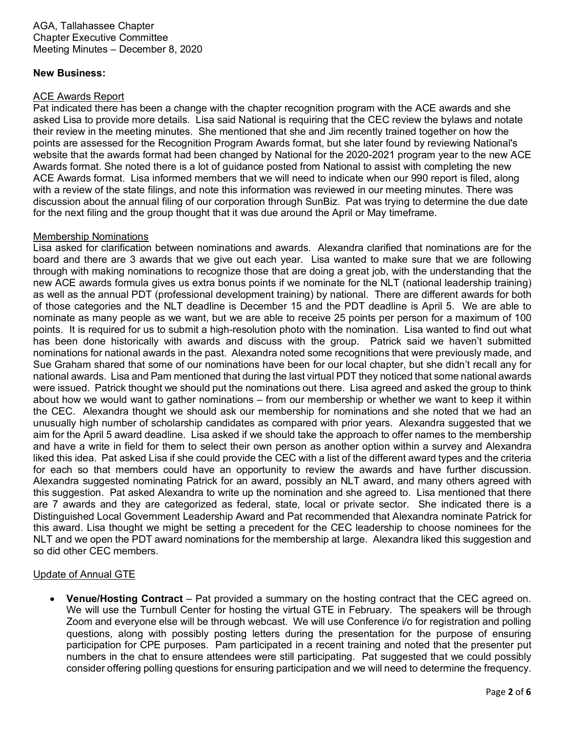AGA, Tallahassee Chapter Chapter Executive Committee Meeting Minutes – December 8, 2020

## **New Business:**

#### ACE Awards Report

Pat indicated there has been a change with the chapter recognition program with the ACE awards and she asked Lisa to provide more details. Lisa said National is requiring that the CEC review the bylaws and notate their review in the meeting minutes. She mentioned that she and Jim recently trained together on how the points are assessed for the Recognition Program Awards format, but she later found by reviewing National's website that the awards format had been changed by National for the 2020-2021 program year to the new ACE Awards format. She noted there is a lot of guidance posted from National to assist with completing the new ACE Awards format. Lisa informed members that we will need to indicate when our 990 report is filed, along with a review of the state filings, and note this information was reviewed in our meeting minutes. There was discussion about the annual filing of our corporation through SunBiz. Pat was trying to determine the due date for the next filing and the group thought that it was due around the April or May timeframe.

#### Membership Nominations

Lisa asked for clarification between nominations and awards. Alexandra clarified that nominations are for the board and there are 3 awards that we give out each year. Lisa wanted to make sure that we are following through with making nominations to recognize those that are doing a great job, with the understanding that the new ACE awards formula gives us extra bonus points if we nominate for the NLT (national leadership training) as well as the annual PDT (professional development training) by national. There are different awards for both of those categories and the NLT deadline is December 15 and the PDT deadline is April 5. We are able to nominate as many people as we want, but we are able to receive 25 points per person for a maximum of 100 points. It is required for us to submit a high-resolution photo with the nomination. Lisa wanted to find out what has been done historically with awards and discuss with the group. Patrick said we haven't submitted nominations for national awards in the past. Alexandra noted some recognitions that were previously made, and Sue Graham shared that some of our nominations have been for our local chapter, but she didn't recall any for national awards. Lisa and Pam mentioned that during the last virtual PDT they noticed that some national awards were issued. Patrick thought we should put the nominations out there. Lisa agreed and asked the group to think about how we would want to gather nominations – from our membership or whether we want to keep it within the CEC. Alexandra thought we should ask our membership for nominations and she noted that we had an unusually high number of scholarship candidates as compared with prior years. Alexandra suggested that we aim for the April 5 award deadline. Lisa asked if we should take the approach to offer names to the membership and have a write in field for them to select their own person as another option within a survey and Alexandra liked this idea. Pat asked Lisa if she could provide the CEC with a list of the different award types and the criteria for each so that members could have an opportunity to review the awards and have further discussion. Alexandra suggested nominating Patrick for an award, possibly an NLT award, and many others agreed with this suggestion. Pat asked Alexandra to write up the nomination and she agreed to. Lisa mentioned that there are 7 awards and they are categorized as federal, state, local or private sector. She indicated there is a Distinguished Local Government Leadership Award and Pat recommended that Alexandra nominate Patrick for this award. Lisa thought we might be setting a precedent for the CEC leadership to choose nominees for the NLT and we open the PDT award nominations for the membership at large. Alexandra liked this suggestion and so did other CEC members.

## Update of Annual GTE

• **Venue/Hosting Contract** – Pat provided a summary on the hosting contract that the CEC agreed on. We will use the Turnbull Center for hosting the virtual GTE in February. The speakers will be through Zoom and everyone else will be through webcast. We will use Conference i/o for registration and polling questions, along with possibly posting letters during the presentation for the purpose of ensuring participation for CPE purposes. Pam participated in a recent training and noted that the presenter put numbers in the chat to ensure attendees were still participating. Pat suggested that we could possibly consider offering polling questions for ensuring participation and we will need to determine the frequency.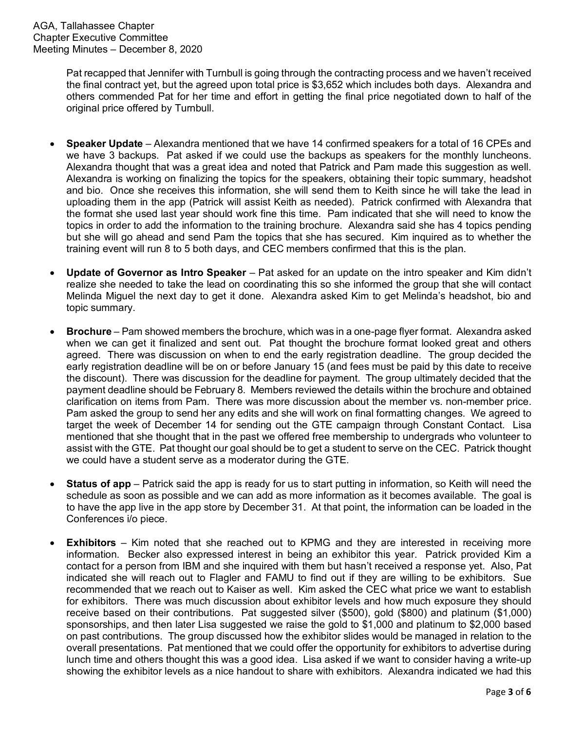Pat recapped that Jennifer with Turnbull is going through the contracting process and we haven't received the final contract yet, but the agreed upon total price is \$3,652 which includes both days. Alexandra and others commended Pat for her time and effort in getting the final price negotiated down to half of the original price offered by Turnbull.

- **Speaker Update** Alexandra mentioned that we have 14 confirmed speakers for a total of 16 CPEs and we have 3 backups. Pat asked if we could use the backups as speakers for the monthly luncheons. Alexandra thought that was a great idea and noted that Patrick and Pam made this suggestion as well. Alexandra is working on finalizing the topics for the speakers, obtaining their topic summary, headshot and bio. Once she receives this information, she will send them to Keith since he will take the lead in uploading them in the app (Patrick will assist Keith as needed). Patrick confirmed with Alexandra that the format she used last year should work fine this time. Pam indicated that she will need to know the topics in order to add the information to the training brochure. Alexandra said she has 4 topics pending but she will go ahead and send Pam the topics that she has secured. Kim inquired as to whether the training event will run 8 to 5 both days, and CEC members confirmed that this is the plan.
- **Update of Governor as Intro Speaker** Pat asked for an update on the intro speaker and Kim didn't realize she needed to take the lead on coordinating this so she informed the group that she will contact Melinda Miguel the next day to get it done. Alexandra asked Kim to get Melinda's headshot, bio and topic summary.
- **Brochure** Pam showed members the brochure, which was in a one-page flyer format. Alexandra asked when we can get it finalized and sent out. Pat thought the brochure format looked great and others agreed. There was discussion on when to end the early registration deadline. The group decided the early registration deadline will be on or before January 15 (and fees must be paid by this date to receive the discount). There was discussion for the deadline for payment. The group ultimately decided that the payment deadline should be February 8. Members reviewed the details within the brochure and obtained clarification on items from Pam. There was more discussion about the member vs. non-member price. Pam asked the group to send her any edits and she will work on final formatting changes. We agreed to target the week of December 14 for sending out the GTE campaign through Constant Contact. Lisa mentioned that she thought that in the past we offered free membership to undergrads who volunteer to assist with the GTE. Pat thought our goal should be to get a student to serve on the CEC. Patrick thought we could have a student serve as a moderator during the GTE.
- **Status of app** Patrick said the app is ready for us to start putting in information, so Keith will need the schedule as soon as possible and we can add as more information as it becomes available. The goal is to have the app live in the app store by December 31. At that point, the information can be loaded in the Conferences i/o piece.
- **Exhibitors** Kim noted that she reached out to KPMG and they are interested in receiving more information. Becker also expressed interest in being an exhibitor this year. Patrick provided Kim a contact for a person from IBM and she inquired with them but hasn't received a response yet. Also, Pat indicated she will reach out to Flagler and FAMU to find out if they are willing to be exhibitors. Sue recommended that we reach out to Kaiser as well. Kim asked the CEC what price we want to establish for exhibitors. There was much discussion about exhibitor levels and how much exposure they should receive based on their contributions. Pat suggested silver (\$500), gold (\$800) and platinum (\$1,000) sponsorships, and then later Lisa suggested we raise the gold to \$1,000 and platinum to \$2,000 based on past contributions. The group discussed how the exhibitor slides would be managed in relation to the overall presentations. Pat mentioned that we could offer the opportunity for exhibitors to advertise during lunch time and others thought this was a good idea. Lisa asked if we want to consider having a write-up showing the exhibitor levels as a nice handout to share with exhibitors. Alexandra indicated we had this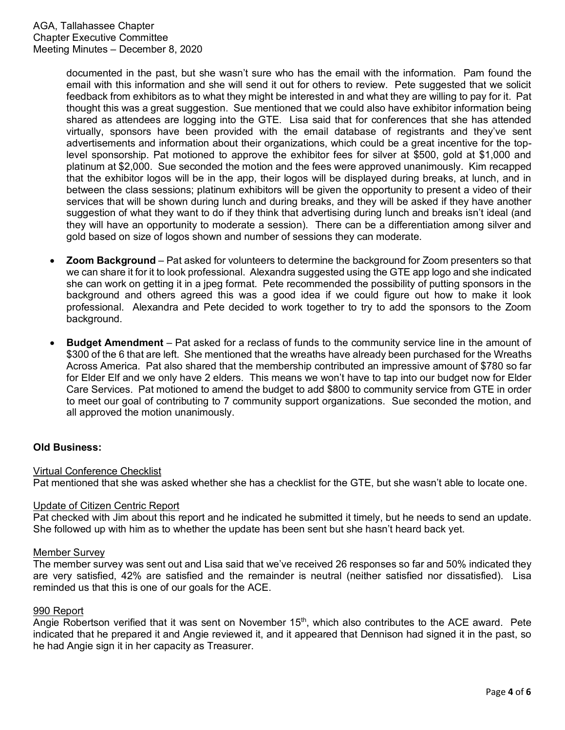documented in the past, but she wasn't sure who has the email with the information. Pam found the email with this information and she will send it out for others to review. Pete suggested that we solicit feedback from exhibitors as to what they might be interested in and what they are willing to pay for it. Pat thought this was a great suggestion. Sue mentioned that we could also have exhibitor information being shared as attendees are logging into the GTE. Lisa said that for conferences that she has attended virtually, sponsors have been provided with the email database of registrants and they've sent advertisements and information about their organizations, which could be a great incentive for the toplevel sponsorship. Pat motioned to approve the exhibitor fees for silver at \$500, gold at \$1,000 and platinum at \$2,000. Sue seconded the motion and the fees were approved unanimously. Kim recapped that the exhibitor logos will be in the app, their logos will be displayed during breaks, at lunch, and in between the class sessions; platinum exhibitors will be given the opportunity to present a video of their services that will be shown during lunch and during breaks, and they will be asked if they have another suggestion of what they want to do if they think that advertising during lunch and breaks isn't ideal (and they will have an opportunity to moderate a session). There can be a differentiation among silver and gold based on size of logos shown and number of sessions they can moderate.

- **Zoom Background** Pat asked for volunteers to determine the background for Zoom presenters so that we can share it for it to look professional. Alexandra suggested using the GTE app logo and she indicated she can work on getting it in a jpeg format. Pete recommended the possibility of putting sponsors in the background and others agreed this was a good idea if we could figure out how to make it look professional. Alexandra and Pete decided to work together to try to add the sponsors to the Zoom background.
- **Budget Amendment** Pat asked for a reclass of funds to the community service line in the amount of \$300 of the 6 that are left. She mentioned that the wreaths have already been purchased for the Wreaths Across America. Pat also shared that the membership contributed an impressive amount of \$780 so far for Elder Elf and we only have 2 elders. This means we won't have to tap into our budget now for Elder Care Services. Pat motioned to amend the budget to add \$800 to community service from GTE in order to meet our goal of contributing to 7 community support organizations. Sue seconded the motion, and all approved the motion unanimously.

# **Old Business:**

## Virtual Conference Checklist

Pat mentioned that she was asked whether she has a checklist for the GTE, but she wasn't able to locate one.

## Update of Citizen Centric Report

Pat checked with Jim about this report and he indicated he submitted it timely, but he needs to send an update. She followed up with him as to whether the update has been sent but she hasn't heard back yet.

#### Member Survey

The member survey was sent out and Lisa said that we've received 26 responses so far and 50% indicated they are very satisfied, 42% are satisfied and the remainder is neutral (neither satisfied nor dissatisfied). Lisa reminded us that this is one of our goals for the ACE.

#### 990 Report

Angie Robertson verified that it was sent on November 15<sup>th</sup>, which also contributes to the ACE award. Pete indicated that he prepared it and Angie reviewed it, and it appeared that Dennison had signed it in the past, so he had Angie sign it in her capacity as Treasurer.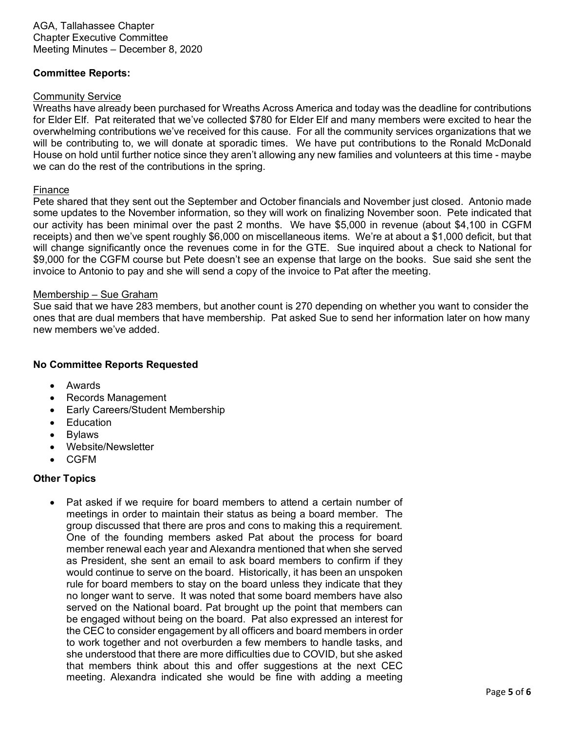AGA, Tallahassee Chapter Chapter Executive Committee Meeting Minutes – December 8, 2020

# **Committee Reports:**

#### Community Service

Wreaths have already been purchased for Wreaths Across America and today was the deadline for contributions for Elder Elf. Pat reiterated that we've collected \$780 for Elder Elf and many members were excited to hear the overwhelming contributions we've received for this cause. For all the community services organizations that we will be contributing to, we will donate at sporadic times. We have put contributions to the Ronald McDonald House on hold until further notice since they aren't allowing any new families and volunteers at this time - maybe we can do the rest of the contributions in the spring.

## Finance

Pete shared that they sent out the September and October financials and November just closed. Antonio made some updates to the November information, so they will work on finalizing November soon. Pete indicated that our activity has been minimal over the past 2 months. We have \$5,000 in revenue (about \$4,100 in CGFM receipts) and then we've spent roughly \$6,000 on miscellaneous items. We're at about a \$1,000 deficit, but that will change significantly once the revenues come in for the GTE. Sue inquired about a check to National for \$9,000 for the CGFM course but Pete doesn't see an expense that large on the books. Sue said she sent the invoice to Antonio to pay and she will send a copy of the invoice to Pat after the meeting.

## Membership – Sue Graham

Sue said that we have 283 members, but another count is 270 depending on whether you want to consider the ones that are dual members that have membership. Pat asked Sue to send her information later on how many new members we've added.

# **No Committee Reports Requested**

- Awards
- Records Management
- Early Careers/Student Membership
- **Education**
- Bylaws
- Website/Newsletter
- CGFM

## **Other Topics**

Pat asked if we require for board members to attend a certain number of meetings in order to maintain their status as being a board member. The group discussed that there are pros and cons to making this a requirement. One of the founding members asked Pat about the process for board member renewal each year and Alexandra mentioned that when she served as President, she sent an email to ask board members to confirm if they would continue to serve on the board. Historically, it has been an unspoken rule for board members to stay on the board unless they indicate that they no longer want to serve. It was noted that some board members have also served on the National board. Pat brought up the point that members can be engaged without being on the board. Pat also expressed an interest for the CEC to consider engagement by all officers and board members in order to work together and not overburden a few members to handle tasks, and she understood that there are more difficulties due to COVID, but she asked that members think about this and offer suggestions at the next CEC meeting. Alexandra indicated she would be fine with adding a meeting